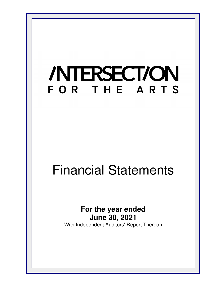# **/NTERSECT/ON** FOR THE ARTS

# Financial Statements

# **For the year ended June 30, 2021** With Independent Auditors' Report Thereon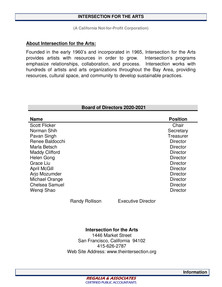**(A California Not-for-Profit Corporation)** 

## **About Intersection for the Arts:**

Founded in the early 1960's and incorporated in 1965, Intersection for the Arts provides artists with resources in order to grow. Intersection's programs emphasize relationships, collaboration, and process. Intersection works with hundreds of artists and arts organizations throughout the Bay Area, providing resources, cultural space, and community to develop sustainable practices.

| Board of Directors 2020-2021                                                                                                                                                                                                                      |                       |                           |                                                                                                                                                                                                                               |  |  |  |
|---------------------------------------------------------------------------------------------------------------------------------------------------------------------------------------------------------------------------------------------------|-----------------------|---------------------------|-------------------------------------------------------------------------------------------------------------------------------------------------------------------------------------------------------------------------------|--|--|--|
| <b>Name</b>                                                                                                                                                                                                                                       |                       |                           | <b>Position</b>                                                                                                                                                                                                               |  |  |  |
| <b>Scott Flicker</b><br>Norman Shih<br>Pavan Singh<br>Renee Baldocchi<br>Marla Betsch<br><b>Maddy Clifford</b><br>Helen Gong<br>Grace Liu<br><b>April McGill</b><br>Arjo Mozumder<br><b>Michael Orange</b><br><b>Chelsea Samuel</b><br>Wengi Shao |                       |                           | Chair<br>Secretary<br>Treasurer<br><b>Director</b><br><b>Director</b><br><b>Director</b><br><b>Director</b><br><b>Director</b><br><b>Director</b><br><b>Director</b><br><b>Director</b><br><b>Director</b><br><b>Director</b> |  |  |  |
|                                                                                                                                                                                                                                                   | <b>Randy Rollison</b> | <b>Executive Director</b> |                                                                                                                                                                                                                               |  |  |  |

# **Intersection for the Arts**  1446 Market Street San Francisco, California 94102 415-626-2787 Web Site Address: www.theintersection.org

 **Information**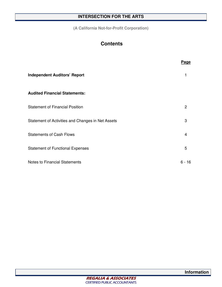**(A California Not-for-Profit Corporation)** 

# **Contents**

|                                                   | <b>Page</b>    |
|---------------------------------------------------|----------------|
| <b>Independent Auditors' Report</b>               |                |
| <b>Audited Financial Statements:</b>              |                |
| <b>Statement of Financial Position</b>            | $\overline{2}$ |
| Statement of Activities and Changes in Net Assets | 3              |
| <b>Statements of Cash Flows</b>                   | 4              |
| <b>Statement of Functional Expenses</b>           | 5              |
| <b>Notes to Financial Statements</b>              | $6 - 16$       |

**Information**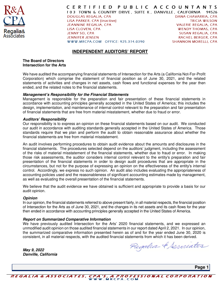

CERTIFIED PUBLIC ACCOUNTANTS 103 TOWN & COUNTRY DRIVE, SUITE K, DANVILLE, CALIFORNIA 94526 DOUGLAS REGALIA, CPA DANA CHAVARRIA, CPA LISA PARKER, CPA [inactive] **TRICIA WILSON VALERIE REGALIA, CPA** JEANNINE REGALIA, CPA LISA CLOVEN, CPA **WENDY THOMAS, CPA** JENNY SO, CPA **SUSAN REGALIA, CPA JENNIFER JENSEN** RACHEL BERGER, CPA WWW.MRCPA.COM OFFICE: 925.314.0390 **SHANNON MORELLI, CPA** 

# **INDEPENDENT AUDITORS' REPORT**

#### **The Board of Directors Intersection for the Arts**

We have audited the accompanying financial statements of Intersection for the Arts (a California Not-For-Profit Corporation) which comprise the statement of financial position as of June 30, 2021, and the related statements of activities and changes in net assets, cash flows and functional expenses for the year then ended, and the related notes to the financial statements.

#### **Management's Responsibility for the Financial Statements**

Management is responsible for the preparation and fair presentation of these financial statements in accordance with accounting principles generally accepted in the United States of America; this includes the design, implementation, and maintenance of internal control relevant to the preparation and fair presentation of financial statements that are free from material misstatement, whether due to fraud or error.

#### **Auditors' Responsibility**

Our responsibility is to express an opinion on these financial statements based on our audit. We conducted our audit in accordance with auditing standards generally accepted in the United States of America. Those standards require that we plan and perform the audit to obtain reasonable assurance about whether the financial statements are free from material misstatement.

An audit involves performing procedures to obtain audit evidence about the amounts and disclosures in the financial statements. The procedures selected depend on the auditors' judgment, including the assessment of the risks of material misstatement of the financial statements, whether due to fraud or error. In making those risk assessments, the auditor considers internal control relevant to the entity's preparation and fair presentation of the financial statements in order to design audit procedures that are appropriate in the circumstances, but not for the purpose of expressing an opinion on the effectiveness of the entity's internal control. Accordingly, we express no such opinion. An audit also includes evaluating the appropriateness of accounting policies used and the reasonableness of significant accounting estimates made by management, as well as evaluating the overall presentation of the financial statements.

We believe that the audit evidence we have obtained is sufficient and appropriate to provide a basis for our audit opinion.

#### **Opinion**

In our opinion, the financial statements referred to above present fairly, in all material respects, the financial position of Intersection for the Arts as of June 30, 2021, and the changes in its net assets and its cash flows for the year then ended in accordance with accounting principles generally accepted in the United States of America.

#### **Report on Summarized Comparative Information**

We have previously audited Intersection for the Arts' 2020 financial statements, and we expressed an unmodified audit opinion on those audited financial statements in our report dated April 2, 2021. In our opinion, the summarized comparative information presented herein as of and for the year ended June 30, 2020 is consistent, in all material respects, with the audited financial statements from which it has been derived.

**May 9, 2022 Danville, California** 

Regalia & Associates

**Page 1**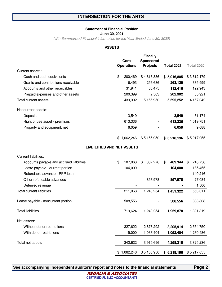#### **Statement of Financial Position**

**June 30, 2021**

*(with Summarized Financial Information for the Year Ended June 30, 2020)*

#### **ASSETS**

|                                     |                   | <b>Fiscally</b> |                   |                   |
|-------------------------------------|-------------------|-----------------|-------------------|-------------------|
|                                     | Core              | Sponsored       |                   |                   |
|                                     | <b>Operations</b> | <b>Projects</b> | <b>Total 2021</b> | <b>Total 2020</b> |
| Current assets:                     |                   |                 |                   |                   |
| Cash and cash equivalents           | \$<br>200,469     | \$4,816,336     | \$5,016,805       | \$3,612,179       |
| Grants and contributions receivable | 6,493             | 256,636         | 263,129           | 385,999           |
| Accounts and other receivables      | 31,941            | 80,475          | 112,416           | 122,943           |
| Prepaid expenses and other assets   | 200,399           | 2,503           | 202,902           | 35,921            |
| Total current assets                | 439,302           | 5,155,950       | 5,595,252         | 4,157,042         |
| Noncurrent assets:                  |                   |                 |                   |                   |
| <b>Deposits</b>                     | 3,549             |                 | 3,549             | 31,174            |
| Right of use asset - premises       | 613,336           |                 | 613,336           | 1,019,751         |
| Property and equipment, net         | 6,059             |                 | 6,059             | 9,088             |
|                                     |                   |                 |                   |                   |

### **LIABILITIES AND NET ASSETS**

\$ 1,062,246 \$ 5,155,950 **\$ 6,218,196** \$ 5,217,055

| <b>Current liabilities:</b>              |               |               |                |               |
|------------------------------------------|---------------|---------------|----------------|---------------|
| Accounts payable and accrued liabilities | \$<br>107,068 | \$<br>382,276 | \$<br>489,344  | \$<br>218,756 |
| Lease payable - current portion          | 104,000       |               | 104,000        | 165,455       |
| Refundable advance - PPP loan            | -             |               | $\blacksquare$ | 140,216       |
| Other refundable advances                |               | 857,978       | 857,978        | 27,084        |
| Deferred revenue                         |               |               |                | 1,500         |
| <b>Total current liabilities</b>         | 211,068       | 1,240,254     | 1,451,322      | 553,011       |
| Lease payable - noncurrent portion       | 508,556       |               | 508,556        | 838,808       |
| <b>Total liabilities</b>                 | 719,624       | 1,240,254     | 1,959,878      | 1,391,819     |
| Net assets:                              |               |               |                |               |
| Without donor restrictions               | 327,622       | 2,878,292     | 3,205,914      | 2,554,750     |
| With donor restrictions                  | 15,000        | 1,037,404     | 1,052,404      | 1,270,486     |
| Total net assets                         | 342,622       | 3,915,696     | 4,258,318      | 3,825,236     |
|                                          | \$1,062,246   | \$5,155,950   | \$6,218,196    | \$5,217,055   |

**See accompanying independent auditors' report and notes to the financial statements Page 2** 

**REGALIA & ASSOCIATES CERTIFIED PUBLIC ACCOUNTANTS**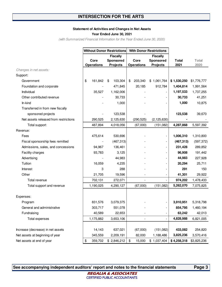#### **Statement of Activities and Changes in Net Assets Year Ended June 30, 2021**

*(with Summarized Financial Information for the Year Ended June 30, 2020)*

|                                       | <b>Without Donor Restrictions</b> |                 |                   | <b>With Donor Restrictions</b> |              |              |
|---------------------------------------|-----------------------------------|-----------------|-------------------|--------------------------------|--------------|--------------|
|                                       |                                   | <b>Fiscally</b> |                   | <b>Fiscally</b>                |              |              |
|                                       | Core                              | Sponsored       | Core              | Sponsored                      | <b>Total</b> | <b>Total</b> |
| Changes in net assets:                | <b>Operations</b>                 | <b>Projects</b> | <b>Operations</b> | <b>Projects</b>                | 2021         | 2020         |
|                                       |                                   |                 |                   |                                |              |              |
| Support:                              |                                   |                 |                   |                                |              |              |
| Government                            | \$<br>161,842                     | 103,304<br>\$   | \$<br>203,340     | \$1,061,764                    | \$1,530,250  | \$1,776,777  |
| Foundation and corporate              |                                   | 471,845         | 20,185            | 912,784                        | 1,404,814    | 1,991,564    |
| Individual                            | 35,527                            | 1,162,006       |                   |                                | 1,197,533    | 1,737,255    |
| Other contributed revenue             |                                   | 30,733          |                   |                                | 30,733       | 41,251       |
| In-kind                               |                                   | 1,000           |                   |                                | 1,000        | 10,875       |
| Transferred in from new fiscally      |                                   |                 |                   |                                |              |              |
| sponsored projects                    |                                   | 123,538         |                   |                                | 123,538      | 39,670       |
| Net assets released from restrictions | 290,525                           | 2,125,630       | (290, 525)        | (2, 125, 630)                  |              |              |
| Total support                         | 487,894                           | 4,018,056       | (67,000)          | (151,082)                      | 4,287,868    | 5,597,392    |
| Revenue:                              |                                   |                 |                   |                                |              |              |
| Fees                                  | 475,614                           | 530,696         |                   | $\overline{\phantom{a}}$       | 1,006,310    | 1,310,800    |
| Fiscal sponsorship fees remitted      |                                   | (467, 313)      |                   |                                | (467, 313)   | (597, 372)   |
| Admissions, sales, and concessions    | 94,967                            | 136,461         |                   |                                | 231,428      | 289,852      |
| Facility charges                      | 93,783                            | 3,125           |                   |                                | 96,908       | 191,442      |
| Advertising                           |                                   | 44,983          |                   |                                | 44,983       | 227,928      |
| Tuition                               | 16,059                            | 4,235           |                   |                                | 20,294       | 25,711       |
| <b>Interest</b>                       | 3                                 | 288             |                   |                                | 291          | 150          |
| Other                                 | 21,705                            | 19,596          |                   |                                | 41,301       | 29,922       |
| Total revenue                         | 702,131                           | 272,071         |                   |                                | 974,202      | 1,478,433    |
| Total support and revenue             | 1,190,025                         | 4,290,127       | (67,000)          | (151,082)                      | 5,262,070    | 7,075,825    |
|                                       |                                   |                 |                   |                                |              |              |
| Expenses:                             |                                   |                 |                   |                                |              |              |
| Program                               | 831,576                           | 3,079,375       |                   |                                | 3,910,951    | 5,318,798    |
| General and administrative            | 303,717                           | 551,078         |                   |                                | 854,795      | 1,460,194    |
| Fundraising                           | 40,589                            | 22,653          |                   |                                | 63,242       | 42,013       |
| Total expenses                        | 1,175,882                         | 3,653,106       |                   |                                | 4,828,988    | 6,821,005    |
|                                       |                                   |                 |                   |                                |              |              |
| Increase (decrease) in net assets     | 14,143                            | 637,021         | (67,000)          | (151,082)                      | 433,082      | 254,820      |
| Net assets at beginning of year       | 345,559                           | 2,209,191       | 82,000            | 1,188,486                      | 3,825,236    | 3,570,416    |
| Net assets at end of year             | 359,702<br>\$                     | \$2,846,212     | 15,000<br>\$      | \$1,037,404                    | \$4,258,318  | \$3,825,236  |

**See accompanying independent auditors' report and notes to the financial statements Page 3** 

**REGALIA & ASSOCIATES CERTIFIED PUBLIC ACCOUNTANTS**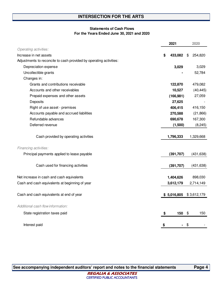#### **Statements of Cash Flows For the Years Ended June 30, 2021 and 2020**

|                                                                    | 2021          |               | 2020        |
|--------------------------------------------------------------------|---------------|---------------|-------------|
| Operating activities:                                              |               |               |             |
| Increase in net assets                                             | \$<br>433,082 | \$            | 254,820     |
| Adjustments to reconcile to cash provided by operating activities: |               |               |             |
| Depreciation expense                                               | 3,029         |               | 3,029       |
| Uncollectible grants                                               |               |               | 52,784      |
| Changes in:                                                        |               |               |             |
| Grants and contributions receivable                                | 122,870       |               | 479,082     |
| Accounts and other receivables                                     | 10,527        |               | (40, 445)   |
| Prepaid expenses and other assets                                  | (166, 981)    |               | 27,059      |
| Deposits                                                           | 27,625        |               |             |
| Right of use asset - premises                                      | 406,415       |               | 416,150     |
| Accounts payable and accrued liabilities                           | 270,588       |               | (21, 866)   |
| Refundable advances                                                | 690,678       |               | 167,300     |
| Deferred revenue                                                   | (1,500)       |               | (8, 245)    |
| Cash provided by operating activities                              | 1,796,333     |               | 1,329,668   |
| Financing activities:                                              |               |               |             |
| Principal payments applied to lease payable                        | (391, 707)    |               | (431, 638)  |
| Cash used for financing activities                                 | (391, 707)    |               | (431, 638)  |
| Net increase in cash and cash equivalents                          | 1,404,626     |               | 898,030     |
| Cash and cash equivalents at beginning of year                     | 3,612,179     |               | 2,714,149   |
| Cash and cash equivalents at end of year                           | \$5,016,805   |               | \$3,612,179 |
| Additional cash flow information:                                  |               |               |             |
| State registration taxes paid                                      | \$<br>150     | $\frac{1}{2}$ | 150         |
| Interest paid                                                      | \$<br>Ξ.      | \$            |             |

**See accompanying independent auditors' report and notes to the financial statements Page 4** 

**REGALIA & ASSOCIATES CERTIFIED PUBLIC ACCOUNTANTS**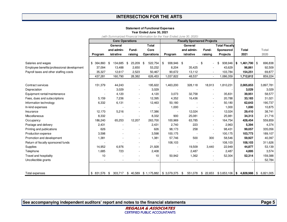# **Statement of Functional Expenses**

#### **Year Ended June 30, 2021**

*(with Summarized Financial Information for the Year Ended June 30, 2020)*

|                                            |               | <b>Core Operations</b> |              |                   |                                                  | <b>Fiscally Sponsored Projects</b> |                          |                       |                            |                         |
|--------------------------------------------|---------------|------------------------|--------------|-------------------|--------------------------------------------------|------------------------------------|--------------------------|-----------------------|----------------------------|-------------------------|
|                                            |               | General                |              | <b>Total</b>      |                                                  | General                            |                          | <b>Total Fiscally</b> |                            |                         |
|                                            |               | and admin-             | Fund-        | Core              |                                                  | and admin-                         | Fund-                    | Sponsored             | <b>Total</b>               | Total                   |
|                                            | Program       | istrative              | raising      | <b>Operations</b> | Program                                          | istrative                          | raising                  | <b>Projects</b>       | 2021                       | 2020                    |
|                                            |               |                        |              |                   |                                                  |                                    |                          |                       |                            |                         |
| Salaries and wages                         | 364,860<br>\$ | 134,685<br>\$          | 23,209<br>\$ | 522,754<br>-\$    | \$<br>938,946 \$                                 |                                    | \$                       | 938,946               | \$<br>1,461,700            | \$<br>696,838           |
| Employee benefits/professional development | 37,094        | 13,488                 | 2,650        | 53,232            | 8,204                                            | 35,425                             |                          | 43,629                | 96,861                     | 92,509                  |
| Payroll taxes and other staffing costs     | 35,327        | 12,617                 | 2,523        | 50,467            | 90,672                                           | 13,112                             | $\blacksquare$           | 103,784               | 154,251                    | 69,877                  |
|                                            | 437,281       | 160,790                | 28,382       | 626,453           | 1,037,822                                        | 48,537                             | $\blacksquare$           | 1,086,359             | 1,712,812                  | 859,224                 |
|                                            |               |                        |              |                   |                                                  |                                    |                          |                       |                            |                         |
| Contract services                          | 151,379       | 44,243                 |              | 195,622           | 1,463,200                                        | 328,118                            | 18,913                   | 1,810,231             | 2,005,853                  | 3,897,781               |
| Depreciation                               |               | 3,029                  |              | 3,029             |                                                  |                                    |                          |                       | 3,029                      | 3,029                   |
| Equipment rental/maintenance               |               | 4,120                  |              | 4,120             | 3,073                                            | 32,758                             | $\blacksquare$           | 35,831                | 39,951                     | 58,577                  |
| Fees, dues and subscriptions               | 5,159         | 7,236                  | $\sim$       | 12,395            | 4,352                                            | 16,436                             | $\blacksquare$           | 20,788                | 33,183                     | 31,021                  |
| Information technology                     | 6,332         | 6,131                  |              | 12,463            | 50,180                                           |                                    | $\blacksquare$           | 50,180                | 62,643                     | 190,737                 |
| In-kind expenses                           |               |                        |              |                   | 1,000                                            |                                    |                          | 1,000                 | 1,000                      | 10,875                  |
| Insurance                                  | 12,170        | 5,216                  |              | 17,386            |                                                  | 12,024                             | $\overline{\phantom{a}}$ | 12,024                | 29,410                     | 38,741                  |
| <b>Miscellaneous</b>                       | 8,332         |                        |              | 8,332             | 900                                              | 25,081                             |                          | 25,981                | 34,313                     | 21,716                  |
| Occupancy                                  | 186,240       | 65,253                 | 12,207       | 263,700           | 100,969                                          | 63,785                             | $\overline{\phantom{a}}$ | 164,754               | 428,454                    | 559,859                 |
| Postage and delivery                       | 2,431         |                        |              | 2,431             | 2,740                                            | 223                                |                          | 2,963                 | 5,394                      | 4,374                   |
| Printing and publications                  | 626           |                        |              | 626               | 98,173                                           | 258                                |                          | 98,431                | 99,057                     | 335,056                 |
| Production expense                         | 3,598         |                        |              | 3,598             | 100,175                                          |                                    |                          | 100,175               | 103,773                    | 189,107                 |
| Promotion and development                  | 1,381         |                        |              | 1,381             | 57,746                                           | 500                                | 300                      | 58,546                | 59,927                     | 40,397                  |
| Return of fiscally sponsored funds         |               |                        |              |                   | 108,103                                          | $\overline{\phantom{a}}$           |                          | 108,103               | 108,103                    | 311,626                 |
| Supplies                                   | 14,952        | 6,976                  |              | 21,928            |                                                  | 19,509                             | 3,440                    | 22,949                | 44,877                     | 53,139                  |
| Telephone                                  | 1,685         | 723                    |              | 2,408             |                                                  | 2,487                              |                          | 2,487                 | 4,895                      | 3,574                   |
| Travel and hospitality                     | 10            |                        |              | 10                | 50,942                                           | 1,362                              |                          | 52,304                | 52,314                     | 159,388                 |
| Uncollectible grants                       |               |                        |              |                   |                                                  |                                    |                          |                       |                            | 52,784                  |
|                                            |               |                        |              |                   |                                                  |                                    |                          |                       |                            |                         |
|                                            |               |                        |              |                   |                                                  |                                    |                          |                       |                            |                         |
| Total expenses                             | $$831,576$ \, |                        |              |                   | 303,717 \$ 40,589 \$ 1,175,882   \$ 3,079,375 \$ |                                    | 551,078 \$ 22,653        |                       | $$3,653,106$   \$4,828,988 | 6,821,005<br>$\sqrt{3}$ |

**See accompanying independent auditors' report and notes to the financial statements Page 5**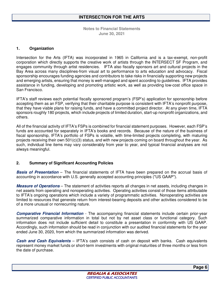#### **1. Organization**

Intersection for the Arts (IFTA) was incorporated in 1965 in California and is a tax-exempt, non-profit corporation which directly supports the creative work of artists through the INTERSECT SF Program, and engages community through artist residencies. IFTA also fiscally sponsors art and cultural projects in the Bay Area across many disciplines-from visual art to performance to arts education and advocacy. Fiscal sponsorship encourages funding agencies and contributors to take risks in financially supporting new projects and emerging artists, ensuring that money is well-managed and spent according to guidelines. IFTA provides assistance in funding, developing and promoting artistic work, as well as providing low-cost office space in San Francisco.

IFTA's staff reviews each potential fiscally sponsored program's (FSP's) application for sponsorship before accepting them as an FSP, verifying that their charitable purpose is consistent with IFTA's nonprofit purpose, that they have viable plans for raising funds, and have a committed project director. At any given time, IFTA sponsors roughly 180 projects, which include projects of limited duration, start-up nonprofit organizations, and others.

All of the financial activity of IFTA's FSPs is combined for financial statement purposes. However, each FSP's funds are accounted for separately in IFTA's books and records. Because of the nature of the business of fiscal sponsorship, IFTA's portfolio of FSPs is volatile, with time-limited projects completing, with maturing projects receiving their own 501(c)(3) status, and with new projects coming on board throughout the year. As such, individual line items may vary considerably from year to year, and typical financial analyses are not always meaningful.

#### **2. Summary of Significant Accounting Policies**

**Basis of Presentation** – The financial statements of IFTA have been prepared on the accrual basis of accounting in accordance with U.S. generally accepted accounting principles ("US GAAP").

**Measure of Operations** – The statement of activities reports all changes in net assets, including changes in net assets from operating and nonoperating activities. Operating activities consist of those items attributable to IFTA's ongoing operations which include a variety of programmatic activities. Nonoperating activities are limited to resources that generate return from interest-bearing deposits and other activities considered to be of a more unusual or nonrecurring nature.

**Comparative Financial Information** - The accompanying financial statements include certain prior-year summarized comparative information in total but not by net asset class or functional category. Such information does not include sufficient detail to constitute a presentation in conformity with US GAAP. Accordingly, such information should be read in conjunction with our audited financial statements for the year ended June 30, 2020, from which the summarized information was derived.

**Cash and Cash Equivalents** – IFTA's cash consists of cash on deposit with banks. Cash equivalents represent money market funds or short-term investments with original maturities of three months or less from the date of purchase.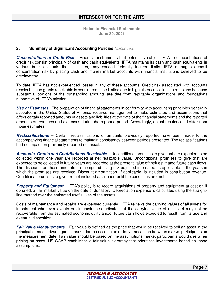#### **2. Summary of Significant Accounting Policies** *(continued)*

**Concentrations of Credit Risk** – Financial instruments that potentially subject IFTA to concentrations of credit risk consist principally of cash and cash equivalents. IFTA maintains its cash and cash equivalents in various bank accounts that, at times, may exceed federally insured limits. IFTA manages deposit concentration risk by placing cash and money market accounts with financial institutions believed to be creditworthy.

To date, IFTA has not experienced losses in any of these accounts. Credit risk associated with accounts receivable and grants receivable is considered to be limited due to high historical collection rates and because substantial portions of the outstanding amounts are due from reputable organizations and foundations supportive of IFTA's mission.

**Use of Estimates** - The preparation of financial statements in conformity with accounting principles generally accepted in the United States of America requires management to make estimates and assumptions that affect certain reported amounts of assets and liabilities at the date of the financial statements and the reported amounts of revenues and expenses during the reported period. Accordingly, actual results could differ from those estimates.

**Reclassifications** – Certain reclassifications of amounts previously reported have been made to the accompanying financial statements to maintain consistency between periods presented. The reclassifications had no impact on previously reported net assets.

**Accounts, Grants and Contributions Receivable** – Unconditional promises to give that are expected to be collected within one year are recorded at net realizable value. Unconditional promises to give that are expected to be collected in future years are recorded at the present value of their estimated future cash flows. The discounts on those amounts are computed using risk-adjusted interest rates applicable to the years in which the promises are received. Discount amortization, if applicable, is included in contribution revenue. Conditional promises to give are not included as support until the conditions are met.

**Property and Equipment** – IFTA's policy is to record acquisitions of property and equipment at cost or, if donated, at fair market value on the date of donation. Depreciation expense is calculated using the straightline method over the estimated useful lives of the assets.

Costs of maintenance and repairs are expensed currently. IFTA reviews the carrying values of all assets for impairment whenever events or circumstances indicate that the carrying value of an asset may not be recoverable from the estimated economic utility and/or future cash flows expected to result from its use and eventual disposition.

**Fair Value Measurements** – Fair value is defined as the price that would be received to sell an asset in the principal or most advantageous market for the asset in an orderly transaction between market participants on the measurement date. Fair value should be based on the assumptions market participants would use when pricing an asset. US GAAP establishes a fair value hierarchy that prioritizes investments based on those assumptions.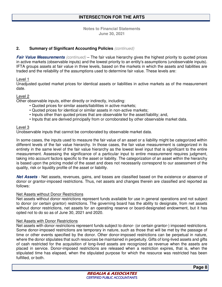#### **2. Summary of Significant Accounting Policies** *(continued)*

**Fair Value Measurements** *(continued)* – The fair value hierarchy gives the highest priority to quoted prices in active markets (observable inputs) and the lowest priority to an entity's assumptions (unobservable inputs). IFTA groups assets at fair value in three levels, based on the markets in which the assets and liabilities are traded and the reliability of the assumptions used to determine fair value. These levels are:

#### Level 1

Unadjusted quoted market prices for identical assets or liabilities in active markets as of the measurement date.

#### Level 2

Other observable inputs, either directly or indirectly, including:

- Quoted prices for similar assets/liabilities in active markets;
- Quoted prices for identical or similar assets in non-active markets;
- Inputs other than quoted prices that are observable for the asset/liability; and,
- Inputs that are derived principally from or corroborated by other observable market data.

#### Level 3

Unobservable inputs that cannot be corroborated by observable market data.

In some cases, the inputs used to measure the fair value of an asset or a liability might be categorized within different levels of the fair value hierarchy. In those cases, the fair value measurement is categorized in its entirety in the same level of the fair value hierarchy as the lowest level input that is significant to the entire measurement. Assessing the significance of a particular input to entire measurement requires judgment, taking into account factors specific to the asset or liability. The categorization of an asset within the hierarchy is based upon the pricing model of the asset and does not necessarily correspond to our assessment of the quality, risk or liquidity profile of the asset or liability.

**Net Assets** - Net assets, revenues, gains, and losses are classified based on the existence or absence of donor or grantor-imposed restrictions. Thus, net assets and changes therein are classified and reported as follows:

#### Net Assets without Donor Restrictions

Net assets without donor restrictions represent funds available for use in general operations and not subject to donor (or certain grantor) restrictions. The governing board has the ability to designate, from net assets without donor restrictions, net assets for an operating reserve or board-designated endowment, but it has opted not to do so as of June 30, 2021 and 2020.

#### Net Assets with Donor Restrictions

Net assets with donor restrictions represent funds subject to donor- (or certain grantor-) imposed restrictions. Some donor-imposed restrictions are temporary in nature, such as those that will be met by the passage of time or other events specified by the donor. Other donor-imposed restrictions can be perpetual in nature, where the donor stipulates that such resources be maintained in perpetuity. Gifts of long-lived assets and gifts of cash restricted for the acquisition of long-lived assets are recognized as revenue when the assets are placed in service. Donor-imposed restrictions are released when a restriction expires, that is, when the stipulated time has elapsed, when the stipulated purpose for which the resource was restricted has been fulfilled, or both.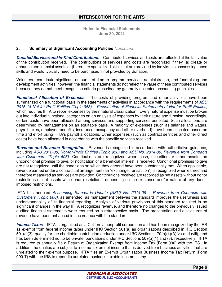#### **2. Summary of Significant Accounting Policies** *(continued)*

**Donated Services and In-Kind Contributions** – Contributed services and costs are reflected at the fair value of the contribution received. The contributions of services and costs are recognized if they (a) create or enhance nonfinancial assets or (b) require specialized skills that are provided by individuals possessing those skills and would typically need to be purchased if not provided by donation.

Volunteers contribute significant amounts of time to program services, administration, and fundraising and development activities; however, the financial statements do not reflect the value of these contributed services because they do not meet recognition criteria prescribed by generally accepted accounting principles.

**Functional Allocation of Expenses** - The costs of providing program and other activities have been summarized on a functional basis in the statements of activities in accordance with the requirements of *ASU 2016-14 Not-for-Profit Entities (Topic 958) – Presentation of Financial Statements of Not-for-Profit Entities*, which requires IFTA to report expenses by their natural classification. Every natural expense must be broken out into individual functional categories on an analysis of expenses by their nature and function. Accordingly, certain costs have been allocated among services and supporting services benefited. Such allocations are determined by management on an equitable basis. A majority of expenses (such as salaries and wages, payroll taxes, employee benefits, insurance, occupancy and other overhead) have been allocated based on time and effort using IFTA's payroll allocations. Other expenses (such as contract services and other direct costs) have been allocated in accordance with the specific services received.

**Revenue and Revenue Recognition** - Revenue is recognized in accordance with authoritative guidance, including *ASU 2018-08, Not-for-Profit Entities (Topic 958)* and *ASU No. 2014-09, Revenue from Contracts with Customers (Topic 606)*. Contributions are recognized when cash, securities or other assets, an unconditional promise to give, or notification of a beneficial interest is received. Conditional promises to give are not recognized until the conditions on which they depend have been substantially met. When applicable, revenue earned under a contractual arrangement (an "exchange transaction") is recognized when earned and therefore measured as services are provided. Contributions received are recorded as net assets without donor restrictions or net assets with donor restrictions, depending on the existence and/or nature of any donorimposed restrictions.

IFTA has adopted *Accounting Standards Update (ASU) No. 2014-09 – Revenue from Contracts with Customers (Topic 606)*, as amended, as management believes the standard improves the usefulness and understandability of its financial reporting. Analysis of various provisions of this standard resulted in no significant changes in the way IFTA recognizes revenue, and therefore no changes to the previously issued audited financial statements were required on a retrospective basis. The presentation and disclosures of revenue have been enhanced in accordance with the standard.

**Income Taxes** – IFTA is organized as a California nonprofit corporation and has been recognized by the IRS as exempt from federal income taxes under IRC Section 501(a) as organizations described in IRC Section 501(c)(3), qualify for the charitable contribution deduction under IRC Sections 170(b)(1)(A)(vi) and (viii), and has been determined not to be private foundations under IRC Sections 509(a)(1) and (3), respectively. IFTA is required to annually file a Return of Organization Exempt from Income Tax (Form 990) with the IRS. In addition, the entities are subject to income tax on net income that is derived from business activities that are unrelated to their exempt purpose. IFTA files an Exempt Organization Business Income Tax Return (Form 990-T) with the IRS to report its unrelated business taxable income, if any.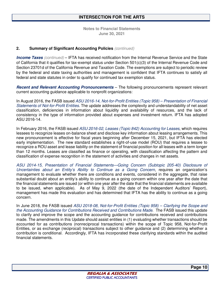#### **2. Summary of Significant Accounting Policies** *(continued)*

**Income Taxes** *(continued)* – IFTA has received notification from the Internal Revenue Service and the State of California that it qualifies for tax-exempt status under Section 501(c)(3) of the Internal Revenue Code and Section 23701d of the California Revenue and Taxation Code. The exemptions are subject to periodic review by the federal and state taxing authorities and management is confident that IFTA continues to satisfy all federal and state statutes in order to qualify for continued tax exemption status.

**Recent and Relevant Accounting Pronouncements** – The following pronouncements represent relevant current accounting guidance applicable to nonprofit organizations:

In August 2016, the FASB issued *ASU 2016-14, Not-for-Profit Entities (Topic 958)* – *Presentation of Financial Statements of Not-for-Profit Entities*. The update addresses the complexity and understandability of net asset classification, deficiencies in information about liquidity and availability of resources, and the lack of consistency in the type of information provided about expenses and investment return. IFTA has adopted ASU 2016-14.

In February 2016, the FASB issued *ASU 2016-02, Leases (Topic 842) Accounting for Leases*, which requires lessees to recognize leases on-balance sheet and disclose key information about leasing arrangements. This new pronouncement is effective for fiscal years beginning after December 15, 2021, but IFTA has elected early implementation. The new standard establishes a right-of-use model (ROU) that requires a lessee to recognize a ROU asset and lease liability on the statement of financial position for all leases with a term longer than 12 months. Leases are classified as finance or operating, with classification affecting the pattern and classification of expense recognition in the statement of activities and changes in net assets.

*ASU 2014-15, Presentation of Financial Statements—Going Concern (Subtopic 205-40) Disclosure of Uncertainties about an Entity's Ability to Continue as a Going Concern*, requires an organization's management to evaluate whether there are conditions and events, considered in the aggregate, that raise substantial doubt about an entity's ability to continue as a going concern within one year after the date that the financial statements are issued (or within one year after the date that the financial statements are available to be issued, when applicable). As of May 9, 2022 (the date of the Independent Auditors' Report), management has made this evaluation and has determined that IFTA has the ability to continue as a going concern.

In June 2018, the FASB issued *ASU 2018-08, Not-for-Profit Entities (Topic 958) – Clarifying the Scope and the Accounting Guidance for Contributions Received and Contributions Made*. The FASB issued this update to clarify and improve the scope and the accounting guidance for contributions received and contributions made. The amendments in this Update should assist entities in (1) evaluating whether transactions should be accounted for as contributions (nonreciprocal transactions) within the scope of Topic 958, Not-for-Profit Entities, or as exchange (reciprocal) transactions subject to other guidance and (2) determining whether a contribution is conditional. Accordingly, IFTA has incorporated these clarifying standards within the audited financial statements.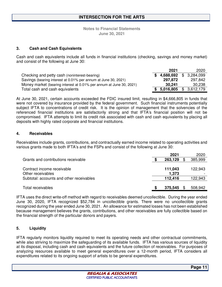**Notes to Financial Statements June 30, 2021** 

#### **3. Cash and Cash Equivalents**

Cash and cash equivalents include all funds in financial institutions (checking, savings and money market) and consist of the following at June 30:

|                                                                     | 2021                      | 2020        |
|---------------------------------------------------------------------|---------------------------|-------------|
| Checking and petty cash (noninterest-bearing)                       | $$4,688,692$ $$3,284,099$ |             |
| Savings (bearing interest at 0.01% per annum at June 30, 2021)      | 297.872                   | 297.842     |
| Money market (bearing interest at 0.01% per annum at June 30, 2021) | 30.241                    | 30,238      |
| Total cash and cash equivalents                                     | \$5,016,805               | \$3,612,179 |

At June 30, 2021, certain accounts exceeded the FDIC insured limit, resulting in \$4,666,805 in funds that were not covered by insurance provided by the federal government. Such financial instruments potentially subject IFTA to concentrations of credit risk. It is the opinion of management that the solvencies of the referenced financial institutions are satisfactorily strong and that IFTA's financial position will not be compromised. IFTA attempts to limit its credit risk associated with cash and cash equivalents by placing all deposits with highly rated corporate and financial institutions.

#### **4. Receivables**

Receivables include grants, contributions, and contractually earned income related to operating activities and various grants made to both IFTA's and the FSPs and consist of the following at June 30:

|                                                 |   | 2021             | 2020    |
|-------------------------------------------------|---|------------------|---------|
| Grants and contributions receivable             |   | 263,129          | 385,999 |
| Contract income receivable<br>Other receivables |   | 111,043<br>1,373 | 122,943 |
| Subtotal: accounts and other receivables        |   | 112,416          | 122,943 |
| Total receivables                               | S | 375,545          | 508,942 |

IFTA uses the direct write-off method with regard to receivables deemed uncollectible. During the year ended June 30, 2020, IFTA recognized \$52,784 in uncollectible grants. There were no uncollectible grants recognized during the year ended June 30, 2021. An allowance for estimated losses has not been established because management believes the grants, contributions, and other receivables are fully collectible based on the financial strength of the particular donors and payers.

#### **5. Liquidity**

IFTA regularly monitors liquidity required to meet its operating needs and other contractual commitments, while also striving to maximize the safeguarding of its available funds. IFTA has various sources of liquidity at its disposal, including cash and cash equivalents and the future collection of receivables. For purposes of analyzing resources available to meet general expenditures over a 12-month period, IFTA considers all expenditures related to its ongoing support of artists to be general expenditures.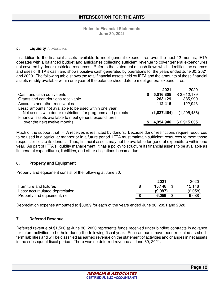#### **5. Liquidity** *(continued)*

In addition to the financial assets available to meet general expenditures over the next 12 months, IFTA operates with a balanced budget and anticipates collecting sufficient revenue to cover general expenditures not covered by donor-restricted resources. Refer to the statement of cash flows which identifies the sources and uses of IFTA's cash and shows positive cash generated by operations for the years ended June 30, 2021 and 2020. The following table shows the total financial assets held by IFTA and the amounts of those financial assets readily available within one year of the balance sheet date to meet general expenditures:

|                                                              |   | 2021        | 2020                  |
|--------------------------------------------------------------|---|-------------|-----------------------|
| Cash and cash equivalents                                    | S | 5,016,805   | \$3,612,179           |
| Grants and contributions receivable                          |   | 263,129     | 385,999               |
| Accounts and other receivables                               |   | 112,416     | 122,943               |
| Less: amounts not available to be used within one year:      |   |             |                       |
| Net assets with donor restrictions for programs and projects |   | (1,037,404) | (1,205,486)           |
| Financial assets available to meet general expenditures      |   |             |                       |
| over the next twelve months                                  |   |             | 4,354,946 \$2,915,635 |

Much of the support that IFTA receives is restricted by donors. Because donor restrictions require resources to be used in a particular manner or in a future period, IFTA must maintain sufficient resources to meet those responsibilities to its donors. Thus, financial assets may not be available for general expenditure within one year. As part of IFTA's liquidity management, it has a policy to structure its financial assets to be available as its general expenditures, liabilities, and other obligations become due.

#### **6. Property and Equipment**

Property and equipment consist of the following at June 30:

|                                | 2021    | 2020    |
|--------------------------------|---------|---------|
| Furniture and fixtures         | 15.146  | 15,146  |
| Less: accumulated depreciation | (9,087) | (6,058) |
| Property and equipment, net    | 6.059   | 9,088   |

Depreciation expense amounted to \$3,029 for each of the years ended June 30, 2021 and 2020.

#### **7. Deferred Revenue**

Deferred revenue of \$1,500 at June 30, 2020 represents funds received under binding contracts in advance for future activities to be held during the following fiscal year. Such amounts have been reflected as shortterm liabilities and will be classified as earned revenue on the statement of activities and changes in net assets in the subsequent fiscal period. There was no deferred revenue at June 30, 2021.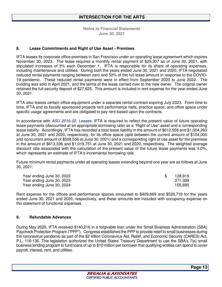#### **8. Lease Commitments and Right of Use Asset - Premises**

IFTA leases its corporate office premises in San Francisco under an operating lease agreement which expires November 30, 2023. The lease requires a monthly rental payment of \$29,307 as of June 30, 2021, with stipulated increases of 3% each December 1. IFTA is responsible for its share of operating expenses, including maintenance and utilities. During both the years ended June 30, 2021 and 2020, IFTA negotiated reduced rental payments ranging between zero and 50% of the full lease amount in response to the COVID-19 pandemic. These reduced rental payments were in effect from September 2020 to June 2022. The building was sold in April 2021, and the terms of the lease carried over to the new owner. The original owner retained the full security deposit of \$27,625. This amount is included in rent expense for the year ended June 30, 2021.

IFTA also leases certain office equipment under a separate rental contract expiring July 2023. From time to time, IFTA and its fiscally sponsored projects rent performance halls, practice space, and office space under specific usage agreements and are obligated to pay rent based upon the contracts.

In accordance with *ASU 2016-02, Leases*, IFTA is required to reflect the present value of future operating lease payments (discounted at an appropriate borrowing rate) as a "Right of Use" asset and a corresponding lease liability. Accordingly, IFTA has recorded a total lease liability in the amount of \$612,556 and \$1,004,263 at June 30, 2021 and 2020, respectively, for its office space (split between the current amount of \$104,000 and noncurrent amount of \$508,556 at June 30, 2021) and a corresponding right of use asset for the premises in the amount of \$613,336 and \$1,019,751 at June 30, 2021 and 2020, respectively. The weighted average discount rate associated with the calculation of the present value of the future lease payments was 4.0%, which represents an estimate of IFTA's incremental borrowing rate.

Future minimum rental payments under all operating leases extending beyond one year are as follows at June 30, 2021:

| Year ending June 30, 2022 | 128,915 |
|---------------------------|---------|
| Year ending June 30, 2023 | 371,399 |
| Year ending June 30, 2024 | 155,695 |

Rent expense for the offices and performance spaces amounted to \$409,669 and \$528,718 for the years ended June 30, 2021 and 2020, respectively, and these amounts are included with occupancy expense on the statement of functional expenses.

#### **9. Refundable Advances**

During May 2020, IFTA received \$140,216 in a forgivable loan under the Small Business Administration (SBA) Paycheck Protection Program ("PPP"). Congress established the PPP to provide relief to small businesses during the coronavirus pandemic as part of the \$2 trillion Coronavirus Aid, Relief, and Economic Security (CARES) Act, P.L. 116-136. This legislation authorized the United States Treasury Department to use the SBA's 7(a) small business lending program to fund loans of up to \$10 million per borrower that qualifying entities can spend to cover payroll, interest, rent, and utilities.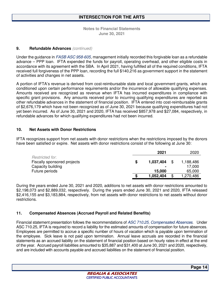#### **9. Refundable Advances** *(continued)*

Under the guidance in *FASB ASC 958-605*, management initially recorded this forgivable loan as a refundable advance – PPP loan. IFTA expended the funds for payroll, operating overhead, and other eligible costs in accordance with its agreement with the SBA. In April 2021, having fulfilled all of the required conditions, IFTA received full forgiveness of the PPP loan, recording the full \$140,216 as government support in the statement of activities and changes in net assets.

A portion of IFTA's revenue is derived from cost-reimbursable state and local government grants, which are conditioned upon certain performance requirements and/or the incurrence of allowable qualifying expenses. Amounts received are recognized as revenue when IFTA has incurred expenditures in compliance with specific grant provisions. Any amounts received prior to incurring qualifying expenditures are reported as other refundable advances in the statement of financial position. IFTA entered into cost-reimbursable grants of \$2,676,179 which have not been recognized as of June 30, 2021 because qualifying expenditures had not yet been incurred. As of June 30, 2021 and 2020, IFTA has received \$857,978 and \$27,084, respectively, in refundable advances for which qualifying expenditures had not been incurred.

#### **10. Net Assets with Donor Restrictions**

IFTA recognizes support from net assets with donor restrictions when the restrictions imposed by the donors have been satisfied or expire. Net assets with donor restrictions consist of the following at June 30:

|                             |   | 2021      |    | 2020      |
|-----------------------------|---|-----------|----|-----------|
| Restricted for:             |   |           |    |           |
| Fiscally sponsored projects | S | 1,037,404 | -S | 1,188,486 |
| Capacity building           |   |           |    | 17,000    |
| Future periods              |   | 15,000    |    | 65,000    |
|                             | S | 1,052,404 | \$ | 1,270,486 |

During the years ended June 30, 2021 and 2020, additions to net assets with donor restrictions amounted to \$2,198,073 and \$2,889,032, respectively. During the years ended June 30, 2021 and 2020, IFTA released \$2,416,155 and \$3,183,884, respectively, from net assets with donor restrictions to net assets without donor restrictions.

#### **11. Compensated Absences (Accrued Payroll and Related Benefits)**

Financial statement presentation follows the recommendations of *ASC 710.25, Compensated Absences*. Under ASC 710.25, IFTA is required to record a liability for the estimated amounts of compensation for future absences. Employees are permitted to accrue a specific number of hours of vacation which is payable upon termination of the employee. Sick leave is not paid upon termination. Annual leave accruals are recorded in the financial statements as an accrued liability on the statement of financial position based on hourly rates in effect at the end of the year. Accrued payroll liabilities amounted to \$35,887 and \$31,400 at June 30, 2021 and 2020, respectively, and are included with accounts payable and accrued liabilities on the statement of financial position.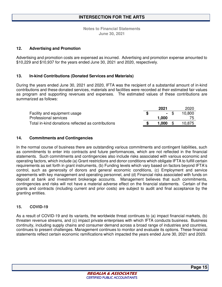#### **12. Advertising and Promotion**

Advertising and promotion costs are expensed as incurred. Advertising and promotion expense amounted to \$10,229 and \$10,937 for the years ended June 30, 2021 and 2020, respectively.

#### **13. In-kind Contributions (Donated Services and Materials)**

During the years ended June 30, 2021 and 2020, IFTA was the recipient of a substantial amount of in-kind contributions and these donated services, materials and facilities were recorded at their estimated fair values as program and supporting revenues and expenses. The estimated values of these contributions are summarized as follows:

| 2021   | 2020   |
|--------|--------|
| $\sim$ | 10,800 |
| 1.000  |        |
| 1.000  | 10.875 |
|        |        |

#### **14. Commitments and Contingencies**

In the normal course of business there are outstanding various commitments and contingent liabilities, such as commitments to enter into contracts and future performances, which are not reflected in the financial statements. Such commitments and contingencies also include risks associated with various economic and operating factors, which include (a) Grant restrictions and donor conditions which obligate IFTA to fulfill certain requirements as set forth in grant instruments, (b) Funding levels which vary based on factors beyond IFTA's control, such as generosity of donors and general economic conditions, (c) Employment and service agreements with key management and operating personnel, and (d) Financial risks associated with funds on deposit at bank and investment brokerage accounts. Management believes that such commitments, contingencies and risks will not have a material adverse effect on the financial statements. Certain of the grants and contracts (including current and prior costs) are subject to audit and final acceptance by the granting entities.

#### **15. COVID-19**

As a result of COVID-19 and its variants, the worldwide threat continues to (a) impact financial markets, (b) threaten revenue streams, and (c) impact private enterprises with which IFTA conducts business. Business continuity, including supply chains and consumer demand across a broad range of industries and countries, continues to present challenges. Management continues to monitor and evaluate its options. These financial statements reflect certain economic ramifications which impacted the years ended June 30, 2021 and 2020.